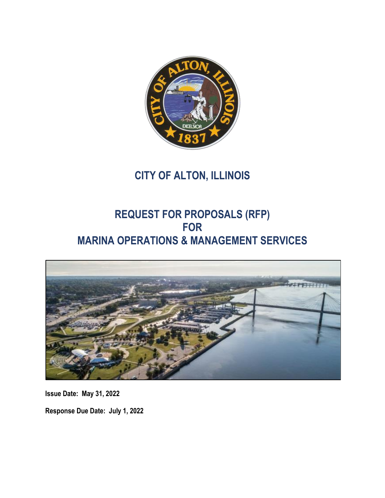

# **CITY OF ALTON, ILLINOIS**

# **REQUEST FOR PROPOSALS (RFP) FOR MARINA OPERATIONS & MANAGEMENT SERVICES**



**Issue Date: May 31, 2022**

**Response Due Date: July 1, 2022**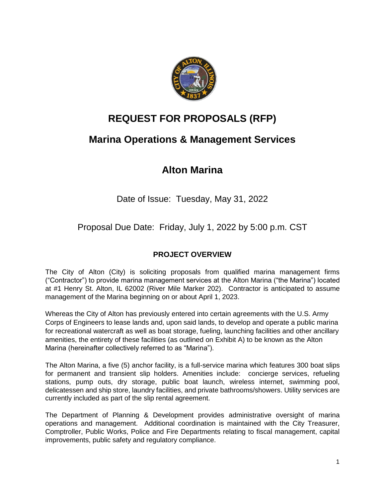

# **REQUEST FOR PROPOSALS (RFP)**

# **Marina Operations & Management Services**

# **Alton Marina**

Date of Issue: Tuesday, May 31, 2022

Proposal Due Date: Friday, July 1, 2022 by 5:00 p.m. CST

# **PROJECT OVERVIEW**

The City of Alton (City) is soliciting proposals from qualified marina management firms ("Contractor") to provide marina management services at the Alton Marina ("the Marina") located at #1 Henry St. Alton, IL 62002 (River Mile Marker 202). Contractor is anticipated to assume management of the Marina beginning on or about April 1, 2023.

Whereas the City of Alton has previously entered into certain agreements with the U.S. Army Corps of Engineers to lease lands and, upon said lands, to develop and operate a public marina for recreational watercraft as well as boat storage, fueling, launching facilities and other ancillary amenities, the entirety of these facilities (as outlined on Exhibit A) to be known as the Alton Marina (hereinafter collectively referred to as "Marina").

The Alton Marina, a five (5) anchor facility, is a full-service marina which features 300 boat slips for permanent and transient slip holders. Amenities include: concierge services, refueling stations, pump outs, dry storage, public boat launch, wireless internet, swimming pool, delicatessen and ship store, laundry facilities, and private bathrooms/showers. Utility services are currently included as part of the slip rental agreement.

The Department of Planning & Development provides administrative oversight of marina operations and management. Additional coordination is maintained with the City Treasurer, Comptroller, Public Works, Police and Fire Departments relating to fiscal management, capital improvements, public safety and regulatory compliance.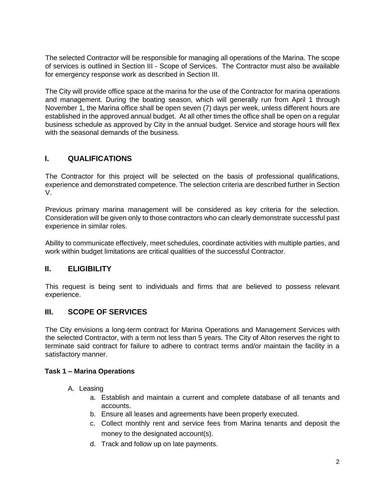The selected Contractor will be responsible for managing all operations of the Marina. The scope of services is outlined in Section III - Scope of Services. The Contractor must also be available for emergency response work as described in Section III.

The City will provide office space at the marina for the use of the Contractor for marina operations and management. During the boating season, which will generally run from April 1 through November 1, the Marina office shall be open seven (7) days per week, unless different hours are established in the approved annual budget. At all other times the office shall be open on a regular business schedule as approved by City in the annual budget. Service and storage hours will flex with the seasonal demands of the business.

# **I. QUALIFICATIONS**

The Contractor for this project will be selected on the basis of professional qualifications, experience and demonstrated competence. The selection criteria are described further in Section V.

Previous primary marina management will be considered as key criteria for the selection. Consideration will be given only to those contractors who can clearly demonstrate successful past experience in similar roles.

Ability to communicate effectively, meet schedules, coordinate activities with multiple parties, and work within budget limitations are critical qualities of the successful Contractor.

# **II. ELIGIBILITY**

This request is being sent to individuals and firms that are believed to possess relevant experience.

# **III. SCOPE OF SERVICES**

The City envisions a long-term contract for Marina Operations and Management Services with the selected Contractor, with a term not less than 5 years. The City of Alton reserves the right to terminate said contract for failure to adhere to contract terms and/or maintain the facility in a satisfactory manner.

## **Task 1 – Marina Operations**

- A. Leasing
	- a. Establish and maintain a current and complete database of all tenants and accounts.
	- b. Ensure all leases and agreements have been properly executed.
	- c. Collect monthly rent and service fees from Marina tenants and deposit the money to the designated account(s).
	- d. Track and follow up on late payments.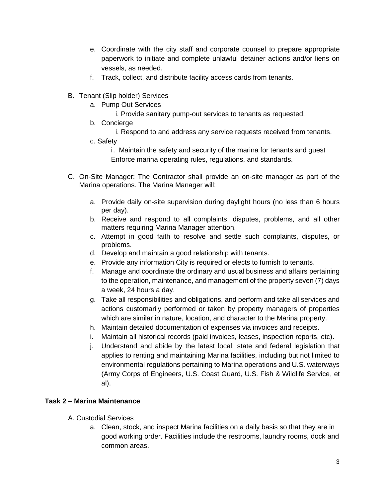- e. Coordinate with the city staff and corporate counsel to prepare appropriate paperwork to initiate and complete unlawful detainer actions and/or liens on vessels, as needed.
- f. Track, collect, and distribute facility access cards from tenants.
- B. Tenant (Slip holder) Services
	- a. Pump Out Services
		- i. Provide sanitary pump-out services to tenants as requested.
	- b. Concierge
		- i. Respond to and address any service requests received from tenants.
	- c. Safety

i. Maintain the safety and security of the marina for tenants and guest Enforce marina operating rules, regulations, and standards.

- C. On-Site Manager: The Contractor shall provide an on-site manager as part of the Marina operations. The Marina Manager will:
	- a. Provide daily on-site supervision during daylight hours (no less than 6 hours per day).
	- b. Receive and respond to all complaints, disputes, problems, and all other matters requiring Marina Manager attention.
	- c. Attempt in good faith to resolve and settle such complaints, disputes, or problems.
	- d. Develop and maintain a good relationship with tenants.
	- e. Provide any information City is required or elects to furnish to tenants.
	- f. Manage and coordinate the ordinary and usual business and affairs pertaining to the operation, maintenance, and management of the property seven (7) days a week, 24 hours a day.
	- g. Take all responsibilities and obligations, and perform and take all services and actions customarily performed or taken by property managers of properties which are similar in nature, location, and character to the Marina property.
	- h. Maintain detailed documentation of expenses via invoices and receipts.
	- i. Maintain all historical records (paid invoices, leases, inspection reports, etc).
	- j. Understand and abide by the latest local, state and federal legislation that applies to renting and maintaining Marina facilities, including but not limited to environmental regulations pertaining to Marina operations and U.S. waterways (Army Corps of Engineers, U.S. Coast Guard, U.S. Fish & Wildlife Service, et al).

# **Task 2 – Marina Maintenance**

- A. Custodial Services
	- a. Clean, stock, and inspect Marina facilities on a daily basis so that they are in good working order. Facilities include the restrooms, laundry rooms, dock and common areas.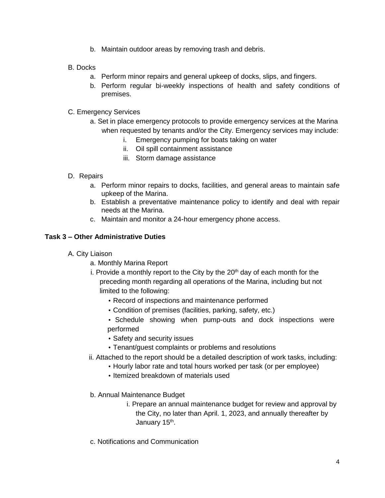- b. Maintain outdoor areas by removing trash and debris.
- B. Docks
	- a. Perform minor repairs and general upkeep of docks, slips, and fingers.
	- b. Perform regular bi-weekly inspections of health and safety conditions of premises.
- C. Emergency Services
	- a. Set in place emergency protocols to provide emergency services at the Marina when requested by tenants and/or the City. Emergency services may include:
		- i. Emergency pumping for boats taking on water
		- ii. Oil spill containment assistance
		- iii. Storm damage assistance
- D. Repairs
	- a. Perform minor repairs to docks, facilities, and general areas to maintain safe upkeep of the Marina.
	- b. Establish a preventative maintenance policy to identify and deal with repair needs at the Marina.
	- c. Maintain and monitor a 24-hour emergency phone access.

## **Task 3 – Other Administrative Duties**

- A. City Liaison
	- a. Monthly Marina Report
	- i. Provide a monthly report to the City by the 20<sup>th</sup> day of each month for the preceding month regarding all operations of the Marina, including but not limited to the following:
		- Record of inspections and maintenance performed
		- Condition of premises (facilities, parking, safety, etc.)
		- Schedule showing when pump-outs and dock inspections were performed
		- Safety and security issues
		- Tenant/guest complaints or problems and resolutions
	- ii. Attached to the report should be a detailed description of work tasks, including:
		- Hourly labor rate and total hours worked per task (or per employee)
		- Itemized breakdown of materials used
	- b. Annual Maintenance Budget
		- i. Prepare an annual maintenance budget for review and approval by the City, no later than April. 1, 2023, and annually thereafter by January 15<sup>th</sup>.
	- c. Notifications and Communication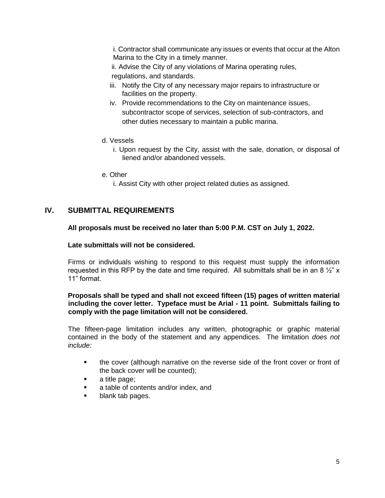i. Contractor shall communicate any issues or events that occur at the Alton Marina to the City in a timely manner.

ii. Advise the City of any violations of Marina operating rules, regulations, and standards.

- iii. Notify the City of any necessary major repairs to infrastructure or facilities on the property.
- iv. Provide recommendations to the City on maintenance issues, subcontractor scope of services, selection of sub-contractors, and other duties necessary to maintain a public marina.
- d. Vessels
	- i. Upon request by the City, assist with the sale, donation, or disposal of liened and/or abandoned vessels.
- e. Other
	- i. Assist City with other project related duties as assigned.

# **IV. SUBMITTAL REQUIREMENTS**

### **All proposals must be received no later than 5:00 P.M. CST on July 1, 2022.**

#### **Late submittals will not be considered.**

Firms or individuals wishing to respond to this request must supply the information requested in this RFP by the date and time required. All submittals shall be in an 8  $\frac{1}{2}$ " x 11" format.

## **Proposals shall be typed and shall not exceed fifteen (15) pages of written material including the cover letter. Typeface must be Arial - 11 point. Submittals failing to comply with the page limitation will not be considered.**

The fifteen-page limitation includes any written, photographic or graphic material contained in the body of the statement and any appendices. The limitation *does not include:* 

- the cover (although narrative on the reverse side of the front cover or front of the back cover will be counted);
- a title page;
- a table of contents and/or index, and
- blank tab pages.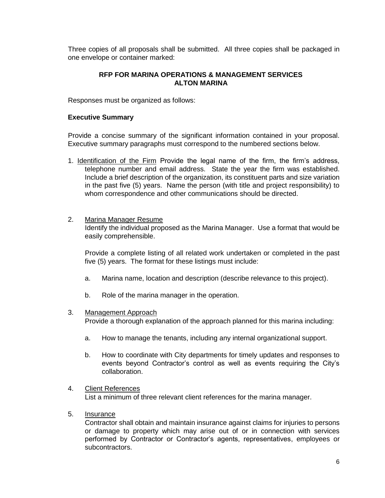Three copies of all proposals shall be submitted. All three copies shall be packaged in one envelope or container marked:

## **RFP FOR MARINA OPERATIONS & MANAGEMENT SERVICES ALTON MARINA**

Responses must be organized as follows:

#### **Executive Summary**

Provide a concise summary of the significant information contained in your proposal. Executive summary paragraphs must correspond to the numbered sections below.

1. Identification of the Firm Provide the legal name of the firm, the firm's address, telephone number and email address. State the year the firm was established. Include a brief description of the organization, its constituent parts and size variation in the past five (5) years. Name the person (with title and project responsibility) to whom correspondence and other communications should be directed.

### 2. Marina Manager Resume

Identify the individual proposed as the Marina Manager. Use a format that would be easily comprehensible.

Provide a complete listing of all related work undertaken or completed in the past five (5) years. The format for these listings must include:

- a. Marina name, location and description (describe relevance to this project).
- b. Role of the marina manager in the operation.

## 3. Management Approach

Provide a thorough explanation of the approach planned for this marina including:

- a. How to manage the tenants, including any internal organizational support.
- b. How to coordinate with City departments for timely updates and responses to events beyond Contractor's control as well as events requiring the City's collaboration.

## 4. Client References

List a minimum of three relevant client references for the marina manager.

5. Insurance

Contractor shall obtain and maintain insurance against claims for injuries to persons or damage to property which may arise out of or in connection with services performed by Contractor or Contractor's agents, representatives, employees or subcontractors.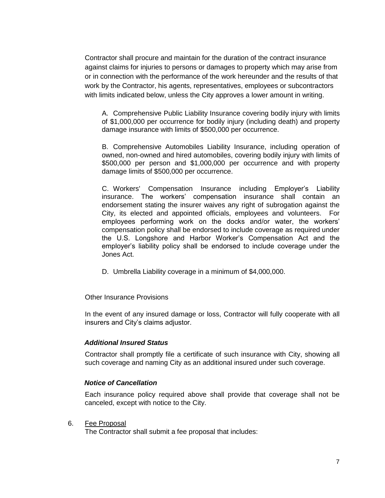Contractor shall procure and maintain for the duration of the contract insurance against claims for injuries to persons or damages to property which may arise from or in connection with the performance of the work hereunder and the results of that work by the Contractor, his agents, representatives, employees or subcontractors with limits indicated below, unless the City approves a lower amount in writing.

A. Comprehensive Public Liability Insurance covering bodily injury with limits of \$1,000,000 per occurrence for bodily injury (including death) and property damage insurance with limits of \$500,000 per occurrence.

B. Comprehensive Automobiles Liability Insurance, including operation of owned, non-owned and hired automobiles, covering bodily injury with limits of \$500,000 per person and \$1,000,000 per occurrence and with property damage limits of \$500,000 per occurrence.

C. Workers' Compensation Insurance including Employer's Liability insurance. The workers' compensation insurance shall contain an endorsement stating the insurer waives any right of subrogation against the City, its elected and appointed officials, employees and volunteers. For employees performing work on the docks and/or water, the workers' compensation policy shall be endorsed to include coverage as required under the U.S. Longshore and Harbor Worker's Compensation Act and the employer's liability policy shall be endorsed to include coverage under the Jones Act.

D. Umbrella Liability coverage in a minimum of \$4,000,000.

Other Insurance Provisions

In the event of any insured damage or loss, Contractor will fully cooperate with all insurers and City's claims adjustor.

## *Additional Insured Status*

Contractor shall promptly file a certificate of such insurance with City, showing all such coverage and naming City as an additional insured under such coverage.

#### *Notice of Cancellation*

Each insurance policy required above shall provide that coverage shall not be canceled, except with notice to the City.

#### 6. Fee Proposal

The Contractor shall submit a fee proposal that includes: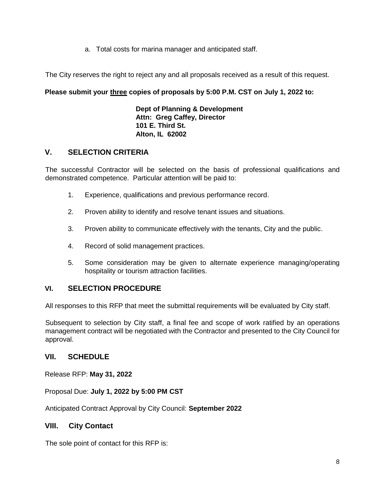a. Total costs for marina manager and anticipated staff.

The City reserves the right to reject any and all proposals received as a result of this request.

# **Please submit your three copies of proposals by 5:00 P.M. CST on July 1, 2022 to:**

**Dept of Planning & Development Attn: Greg Caffey, Director 101 E. Third St. Alton, IL 62002**

# **V. SELECTION CRITERIA**

The successful Contractor will be selected on the basis of professional qualifications and demonstrated competence. Particular attention will be paid to:

- 1. Experience, qualifications and previous performance record.
- 2. Proven ability to identify and resolve tenant issues and situations.
- 3. Proven ability to communicate effectively with the tenants, City and the public.
- 4. Record of solid management practices.
- 5. Some consideration may be given to alternate experience managing/operating hospitality or tourism attraction facilities.

# **VI. SELECTION PROCEDURE**

All responses to this RFP that meet the submittal requirements will be evaluated by City staff.

Subsequent to selection by City staff, a final fee and scope of work ratified by an operations management contract will be negotiated with the Contractor and presented to the City Council for approval.

# **VII. SCHEDULE**

Release RFP: **May 31, 2022**

Proposal Due: **July 1, 2022 by 5:00 PM CST**

Anticipated Contract Approval by City Council: **September 2022** 

# **VIII. City Contact**

The sole point of contact for this RFP is: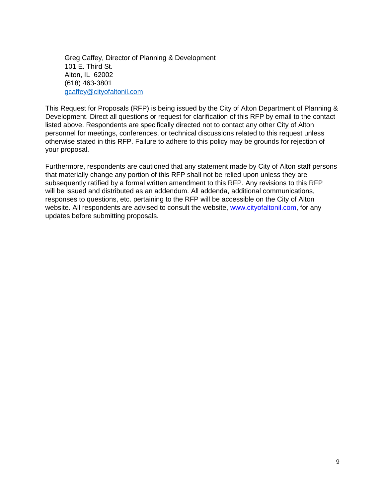Greg Caffey, Director of Planning & Development 101 E. Third St. Alton, IL 62002 (618) 463-3801 [gcaffey@cityofaltonil.com](mailto:gcaffey@cityofaltonil.com)

This Request for Proposals (RFP) is being issued by the City of Alton Department of Planning & Development. Direct all questions or request for clarification of this RFP by email to the contact listed above. Respondents are specifically directed not to contact any other City of Alton personnel for meetings, conferences, or technical discussions related to this request unless otherwise stated in this RFP. Failure to adhere to this policy may be grounds for rejection of your proposal.

Furthermore, respondents are cautioned that any statement made by City of Alton staff persons that materially change any portion of this RFP shall not be relied upon unless they are subsequently ratified by a formal written amendment to this RFP. Any revisions to this RFP will be issued and distributed as an addendum. All addenda, additional communications, responses to questions, etc. pertaining to the RFP will be accessible on the City of Alton website. All respondents are advised to consult the website, www.cityofaltonil.com, for any updates before submitting proposals.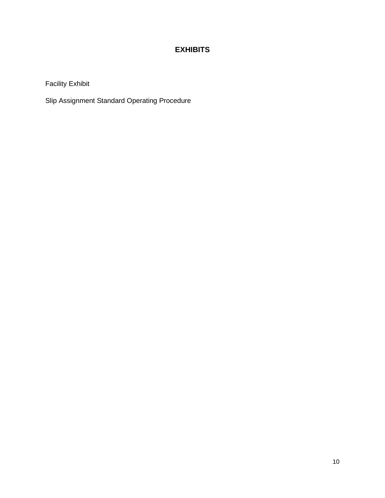# **EXHIBITS**

Facility Exhibit

Slip Assignment Standard Operating Procedure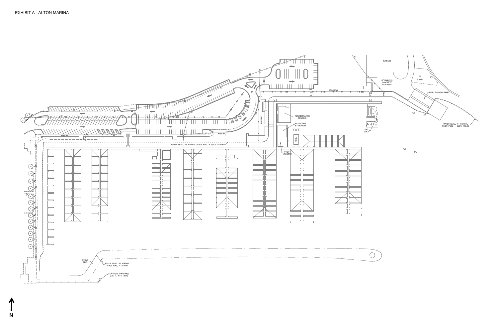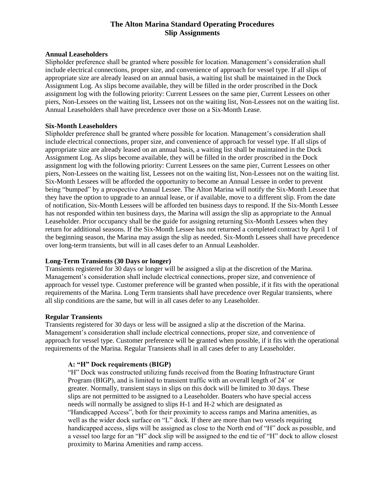## **The Alton Marina Standard Operating Procedures Slip Assignments**

#### **Annual Leaseholders**

Slipholder preference shall be granted where possible for location. Management's consideration shall include electrical connections, proper size, and convenience of approach for vessel type. If all slips of appropriate size are already leased on an annual basis, a waiting list shall be maintained in the Dock Assignment Log. As slips become available, they will be filled in the order proscribed in the Dock assignment log with the following priority: Current Lessees on the same pier, Current Lessees on other piers, Non-Lessees on the waiting list, Lessees not on the waiting list, Non-Lessees not on the waiting list. Annual Leaseholders shall have precedence over those on a Six-Month Lease.

#### **Six-Month Leaseholders**

Slipholder preference shall be granted where possible for location. Management's consideration shall include electrical connections, proper size, and convenience of approach for vessel type. If all slips of appropriate size are already leased on an annual basis, a waiting list shall be maintained in the Dock Assignment Log. As slips become available, they will be filled in the order proscribed in the Dock assignment log with the following priority: Current Lessees on the same pier, Current Lessees on other piers, Non-Lessees on the waiting list, Lessees not on the waiting list, Non-Lessees not on the waiting list. Six-Month Lessees will be afforded the opportunity to become an Annual Lessee in order to prevent being "bumped" by a prospective Annual Lessee. The Alton Marina will notify the Six-Month Lessee that they have the option to upgrade to an annual lease, or if available, move to a different slip. From the date of notification, Six-Month Lessees will be afforded ten business days to respond. If the Six-Month Lessee has not responded within ten business days, the Marina will assign the slip as appropriate to the Annual Leaseholder. Prior occupancy shall be the guide for assigning returning Six-Month Lessees when they return for additional seasons. If the Six-Month Lessee has not returned a completed contract by April 1 of the beginning season, the Marina may assign the slip as needed. Six-Month Lessees shall have precedence over long-term transients, but will in all cases defer to an Annual Leasholder.

#### **Long-Term Transients (30 Days or longer)**

Transients registered for 30 days or longer will be assigned a slip at the discretion of the Marina. Management's consideration shall include electrical connections, proper size, and convenience of approach for vessel type. Customer preference will be granted when possible, if it fits with the operational requirements of the Marina. Long Term transients shall have precedence over Regular transients, where all slip conditions are the same, but will in all cases defer to any Leaseholder.

#### **Regular Transients**

Transients registered for 30 days or less will be assigned a slip at the discretion of the Marina. Management's consideration shall include electrical connections, proper size, and convenience of approach for vessel type. Customer preference will be granted when possible, if it fits with the operational requirements of the Marina. Regular Transients shall in all cases defer to any Leaseholder.

#### **A: "H" Dock requirements (BIGP)**

"H" Dock was constructed utilizing funds received from the Boating Infrastructure Grant Program (BIGP), and is limited to transient traffic with an overall length of 24' or greater. Normally, transient stays in slips on this dock will be limited to 30 days. These slips are not permitted to be assigned to a Leaseholder. Boaters who have special access needs will normally be assigned to slips H-1 and H-2 which are designated as "Handicapped Access", both for their proximity to access ramps and Marina amenities, as well as the wider dock surface on "L" dock. If there are more than two vessels requiring handicapped access, slips will be assigned as close to the North end of "H" dock as possible, and a vessel too large for an "H" dock slip will be assigned to the end tie of "H" dock to allow closest proximity to Marina Amenities and ramp access.